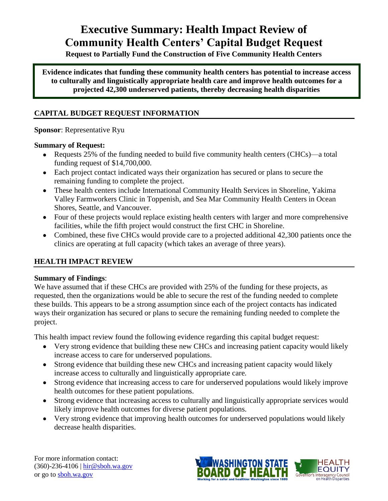# **Executive Summary: Health Impact Review of Community Health Centers' Capital Budget Request**

**Request to Partially Fund the Construction of Five Community Health Centers**

**Evidence indicates that funding these community health centers has potential to increase access to culturally and linguistically appropriate health care and improve health outcomes for a projected 42,300 underserved patients, thereby decreasing health disparities**

# **CAPITAL BUDGET REQUEST INFORMATION**

# **Sponsor**: Representative Ryu

# **Summary of Request:**

- Requests 25% of the funding needed to build five community health centers (CHCs)—a total funding request of \$14,700,000.
- Each project contact indicated ways their organization has secured or plans to secure the remaining funding to complete the project.
- These health centers include International Community Health Services in Shoreline, Yakima Valley Farmworkers Clinic in Toppenish, and Sea Mar Community Health Centers in Ocean Shores, Seattle, and Vancouver.
- Four of these projects would replace existing health centers with larger and more comprehensive facilities, while the fifth project would construct the first CHC in Shoreline.
- Combined, these five CHCs would provide care to a projected additional 42,300 patients once the clinics are operating at full capacity (which takes an average of three years).

# **HEALTH IMPACT REVIEW**

# **Summary of Findings**:

We have assumed that if these CHCs are provided with 25% of the funding for these projects, as requested, then the organizations would be able to secure the rest of the funding needed to complete these builds. This appears to be a strong assumption since each of the project contacts has indicated ways their organization has secured or plans to secure the remaining funding needed to complete the project.

This health impact review found the following evidence regarding this capital budget request:

- Very strong evidence that building these new CHCs and increasing patient capacity would likely increase access to care for underserved populations.
- Strong evidence that building these new CHCs and increasing patient capacity would likely increase access to culturally and linguistically appropriate care.
- Strong evidence that increasing access to care for underserved populations would likely improve health outcomes for these patient populations.
- Strong evidence that increasing access to culturally and linguistically appropriate services would likely improve health outcomes for diverse patient populations.
- Very strong evidence that improving health outcomes for underserved populations would likely decrease health disparities.

For more information contact: (360)-236-4106 | hir@sboh.wa.gov or go to sboh.wa.gov

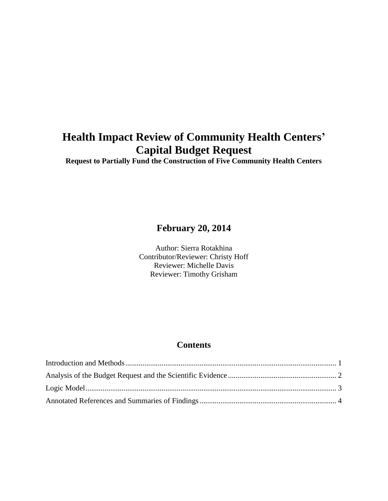# **Health Impact Review of Community Health Centers' Capital Budget Request**

**Request to Partially Fund the Construction of Five Community Health Centers**

# **February 20, 2014**

Author: Sierra Rotakhina Contributor/Reviewer: Christy Hoff Reviewer: Michelle Davis Reviewer: Timothy Grisham

# **Contents**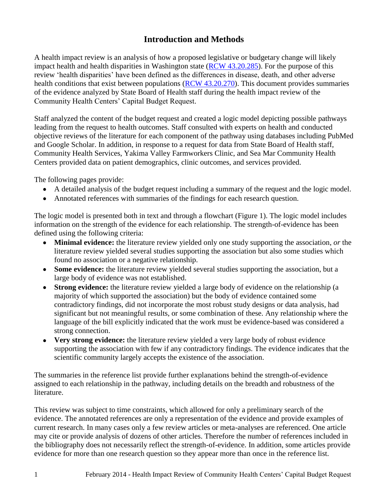# **Introduction and Methods**

<span id="page-2-0"></span>A health impact review is an analysis of how a proposed legislative or budgetary change will likely impact health and health disparities in Washington state [\(RCW 43.20.285\)](http://apps.leg.wa.gov/rcw/default.aspx?cite=43.20.285). For the purpose of this review ‗health disparities' have been defined as the differences in disease, death, and other adverse health conditions that exist between populations [\(RCW 43.20.270\)](http://apps.leg.wa.gov/rcw/default.aspx?cite=43.20.270). This document provides summaries of the evidence analyzed by State Board of Health staff during the health impact review of the Community Health Centers' Capital Budget Request.

Staff analyzed the content of the budget request and created a logic model depicting possible pathways leading from the request to health outcomes. Staff consulted with experts on health and conducted objective reviews of the literature for each component of the pathway using databases including PubMed and Google Scholar. In addition, in response to a request for data from State Board of Health staff, Community Health Services, Yakima Valley Farmworkers Clinic, and Sea Mar Community Health Centers provided data on patient demographics, clinic outcomes, and services provided.

The following pages provide:

- A detailed analysis of the budget request including a summary of the request and the logic model.
- Annotated references with summaries of the findings for each research question.

The logic model is presented both in text and through a flowchart (Figure 1). The logic model includes information on the strength of the evidence for each relationship. The strength-of-evidence has been defined using the following criteria:

- **Minimal evidence:** the literature review yielded only one study supporting the association, *or* the  $\bullet$ literature review yielded several studies supporting the association but also some studies which found no association or a negative relationship.
- **Some evidence:** the literature review yielded several studies supporting the association, but a large body of evidence was not established.
- **Strong evidence:** the literature review yielded a large body of evidence on the relationship (a majority of which supported the association) but the body of evidence contained some contradictory findings, did not incorporate the most robust study designs or data analysis, had significant but not meaningful results, or some combination of these. Any relationship where the language of the bill explicitly indicated that the work must be evidence-based was considered a strong connection.
- **Very strong evidence:** the literature review yielded a very large body of robust evidence supporting the association with few if any contradictory findings. The evidence indicates that the scientific community largely accepts the existence of the association.

The summaries in the reference list provide further explanations behind the strength-of-evidence assigned to each relationship in the pathway, including details on the breadth and robustness of the literature.

This review was subject to time constraints, which allowed for only a preliminary search of the evidence. The annotated references are only a representation of the evidence and provide examples of current research. In many cases only a few review articles or meta-analyses are referenced. One article may cite or provide analysis of dozens of other articles. Therefore the number of references included in the bibliography does not necessarily reflect the strength-of-evidence. In addition, some articles provide evidence for more than one research question so they appear more than once in the reference list.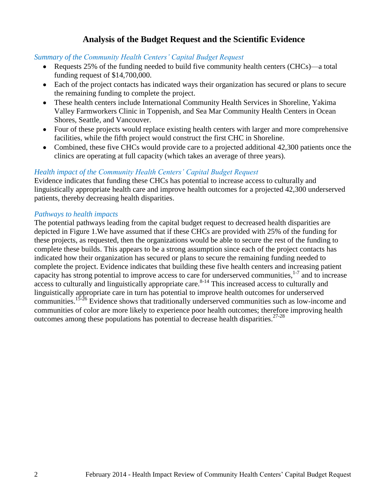# **Analysis of the Budget Request and the Scientific Evidence**

#### <span id="page-3-0"></span>*Summary of the Community Health Centers' Capital Budget Request*

- Requests 25% of the funding needed to build five community health centers (CHCs)—a total funding request of \$14,700,000.
- Each of the project contacts has indicated ways their organization has secured or plans to secure the remaining funding to complete the project.
- These health centers include International Community Health Services in Shoreline, Yakima Valley Farmworkers Clinic in Toppenish, and Sea Mar Community Health Centers in Ocean Shores, Seattle, and Vancouver.
- Four of these projects would replace existing health centers with larger and more comprehensive facilities, while the fifth project would construct the first CHC in Shoreline.
- Combined, these five CHCs would provide care to a projected additional 42,300 patients once the clinics are operating at full capacity (which takes an average of three years).

## *Health impact of the Community Health Centers' Capital Budget Request*

Evidence indicates that funding these CHCs has potential to increase access to culturally and linguistically appropriate health care and improve health outcomes for a projected 42,300 underserved patients, thereby decreasing health disparities.

#### *Pathways to health impacts*

The potential pathways leading from the capital budget request to decreased health disparities are depicted in Figure 1.We have assumed that if these CHCs are provided with 25% of the funding for these projects, as requested, then the organizations would be able to secure the rest of the funding to complete these builds. This appears to be a strong assumption since each of the project contacts has indicated how their organization has secured or plans to secure the remaining funding needed to complete the project. Evidence indicates that building these five health centers and increasing patient capacity has strong potential to improve access to care for underserved communities,  $17$  and to increase  $\frac{1}{2}$  access to culturally and linguistically appropriate care.<sup>8-14</sup> This increased access to culturally and linguistically appropriate care in turn has potential to improve health outcomes for underserved communities.15-26 Evidence shows that traditionally underserved communities such as low-income and communities of color are more likely to experience poor health outcomes; therefore improving health outcomes among these populations has potential to decrease health disparities.  $27-28$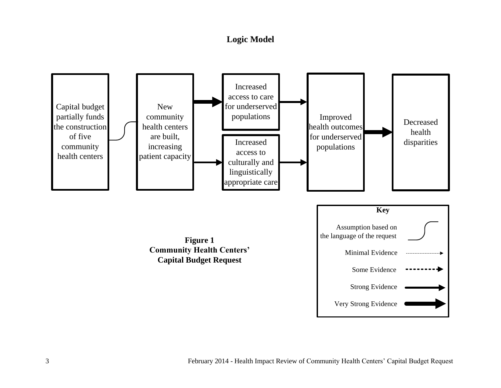# **Logic Model**

<span id="page-4-0"></span>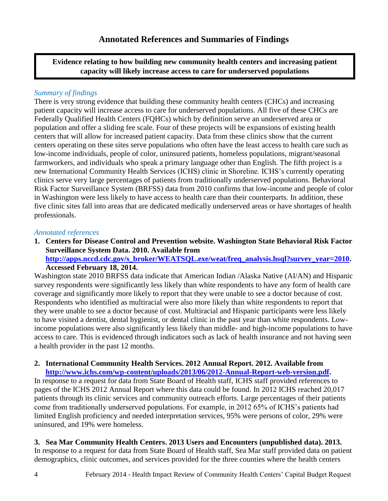<span id="page-5-0"></span>**Evidence relating to how building new community health centers and increasing patient capacity will likely increase access to care for underserved populations**

# *Summary of findings*

There is very strong evidence that building these community health centers (CHCs) and increasing patient capacity will increase access to care for underserved populations. All five of these CHCs are Federally Qualified Health Centers (FQHCs) which by definition serve an underserved area or population and offer a sliding fee scale. Four of these projects will be expansions of existing health centers that will allow for increased patient capacity. Data from these clinics show that the current centers operating on these sites serve populations who often have the least access to health care such as low-income individuals, people of color, uninsured patients, homeless populations, migrant/seasonal farmworkers, and individuals who speak a primary language other than English. The fifth project is a new International Community Health Services (ICHS) clinic in Shoreline. ICHS's currently operating clinics serve very large percentages of patients from traditionally underserved populations. Behavioral Risk Factor Surveillance System (BRFSS) data from 2010 confirms that low-income and people of color in Washington were less likely to have access to health care than their counterparts. In addition, these five clinic sites fall into areas that are dedicated medically underserved areas or have shortages of health professionals.

#### *Annotated references*

**1. Centers for Disease Control and Prevention website. Washington State Behavioral Risk Factor Surveillance System Data. 2010. Available from [http://apps.nccd.cdc.gov/s\\_broker/WEATSQL.exe/weat/freq\\_analysis.hsql?survey\\_year=2010.](http://apps.nccd.cdc.gov/s_broker/WEATSQL.exe/weat/freq_analysis.hsql?survey_year=2010) Accessed February 18, 2014.** 

Washington state 2010 BRFSS data indicate that American Indian /Alaska Native (AI/AN) and Hispanic survey respondents were significantly less likely than white respondents to have any form of health care coverage and significantly more likely to report that they were unable to see a doctor because of cost. Respondents who identified as multiracial were also more likely than white respondents to report that they were unable to see a doctor because of cost. Multiracial and Hispanic participants were less likely to have visited a dentist, dental hygienist, or dental clinic in the past year than white respondents. Lowincome populations were also significantly less likely than middle- and high-income populations to have access to care. This is evidenced through indicators such as lack of health insurance and not having seen a health provider in the past 12 months.

#### **2. International Community Health Services. 2012 Annual Report. 2012. Available from [http://www.ichs.com/wp-content/uploads/2013/06/2012-Annual-Report-web-version.pdf.](http://www.ichs.com/wp-content/uploads/2013/06/2012-Annual-Report-web-version.pdf)**

In response to a request for data from State Board of Health staff, ICHS staff provided references to pages of the ICHS 2012 Annual Report where this data could be found. In 2012 ICHS reached 20,017 patients through its clinic services and community outreach efforts. Large percentages of their patients come from traditionally underserved populations. For example, in 2012 65% of ICHS's patients had limited English proficiency and needed interpretation services, 95% were persons of color, 29% were uninsured, and 19% were homeless.

# **3. Sea Mar Community Health Centers. 2013 Users and Encounters (unpublished data). 2013.**

In response to a request for data from State Board of Health staff, Sea Mar staff provided data on patient demographics, clinic outcomes, and services provided for the three counties where the health centers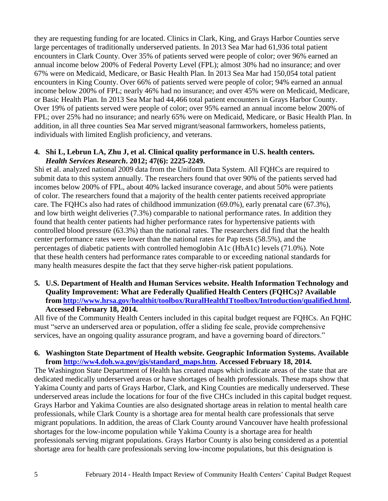they are requesting funding for are located. Clinics in Clark, King, and Grays Harbor Counties serve large percentages of traditionally underserved patients. In 2013 Sea Mar had 61,936 total patient encounters in Clark County. Over 35% of patients served were people of color; over 96% earned an annual income below 200% of Federal Poverty Level (FPL); almost 30% had no insurance; and over 67% were on Medicaid, Medicare, or Basic Health Plan. In 2013 Sea Mar had 150,054 total patient encounters in King County. Over 66% of patients served were people of color; 94% earned an annual income below 200% of FPL; nearly 46% had no insurance; and over 45% were on Medicaid, Medicare, or Basic Health Plan. In 2013 Sea Mar had 44,466 total patient encounters in Grays Harbor County. Over 19% of patients served were people of color; over 95% earned an annual income below 200% of FPL; over 25% had no insurance; and nearly 65% were on Medicaid, Medicare, or Basic Health Plan. In addition, in all three counties Sea Mar served migrant/seasonal farmworkers, homeless patients, individuals with limited English proficiency, and veterans.

#### **4. Shi L, Lebrun LA, Zhu J, et al. Clinical quality performance in U.S. health centers.**  *Health Services Research***. 2012; 47(6): 2225-2249.**

Shi et al. analyzed national 2009 data from the Uniform Data System. All FQHCs are required to submit data to this system annually. The researchers found that over 90% of the patients served had incomes below 200% of FPL, about 40% lacked insurance coverage, and about 50% were patients of color. The researchers found that a majority of the health center patients received appropriate care. The FQHCs also had rates of childhood immunization (69.0%), early prenatal care (67.3%), and low birth weight deliveries (7.3%) comparable to national performance rates. In addition they found that health center patients had higher performance rates for hypertensive patients with controlled blood pressure (63.3%) than the national rates. The researchers did find that the health center performance rates were lower than the national rates for Pap tests (58.5%), and the percentages of diabetic patients with controlled hemoglobin A1c (HbA1c) levels (71.0%). Note that these health centers had performance rates comparable to or exceeding national standards for many health measures despite the fact that they serve higher-risk patient populations.

#### **5. U.S. Department of Health and Human Services website. Health Information Technology and Quality Improvement: What are Federally Qualified Health Centers (FQHCs)? Available from [http://www.hrsa.gov/healthit/toolbox/RuralHealthITtoolbox/Introduction/qualified.html.](http://www.hrsa.gov/healthit/toolbox/RuralHealthITtoolbox/Introduction/qualified.html) Accessed February 18, 2014.**

All five of the Community Health Centers included in this capital budget request are FQHCs. An FQHC must "serve an underserved area or population, offer a sliding fee scale, provide comprehensive services, have an ongoing quality assurance program, and have a governing board of directors."

## **6. Washington State Department of Health website. Geographic Information Systems. Available from [http://ww4.doh.wa.gov/gis/standard\\_maps.htm.](http://ww4.doh.wa.gov/gis/standard_maps.htm) Accessed February 18, 2014.**

The Washington State Department of Health has created maps which indicate areas of the state that are dedicated medically underserved areas or have shortages of health professionals. These maps show that Yakima County and parts of Grays Harbor, Clark, and King Counties are medically underserved. These underserved areas include the locations for four of the five CHCs included in this capital budget request. Grays Harbor and Yakima Counties are also designated shortage areas in relation to mental health care professionals, while Clark County is a shortage area for mental health care professionals that serve migrant populations. In addition, the areas of Clark County around Vancouver have health professional shortages for the low-income population while Yakima County is a shortage area for health professionals serving migrant populations. Grays Harbor County is also being considered as a potential shortage area for health care professionals serving low-income populations, but this designation is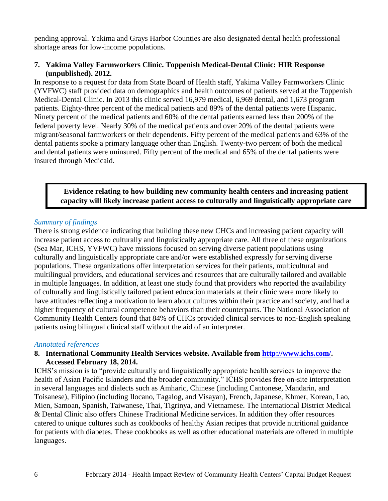pending approval. Yakima and Grays Harbor Counties are also designated dental health professional shortage areas for low-income populations.

#### **7. Yakima Valley Farmworkers Clinic. Toppenish Medical-Dental Clinic: HIR Response (unpublished). 2012.**

In response to a request for data from State Board of Health staff, Yakima Valley Farmworkers Clinic (YVFWC) staff provided data on demographics and health outcomes of patients served at the Toppenish Medical-Dental Clinic. In 2013 this clinic served 16,979 medical, 6,969 dental, and 1,673 program patients. Eighty-three percent of the medical patients and 89% of the dental patients were Hispanic. Ninety percent of the medical patients and 60% of the dental patients earned less than 200% of the federal poverty level. Nearly 30% of the medical patients and over 20% of the dental patients were migrant/seasonal farmworkers or their dependents. Fifty percent of the medical patients and 63% of the dental patients spoke a primary language other than English. Twenty-two percent of both the medical and dental patients were uninsured. Fifty percent of the medical and 65% of the dental patients were insured through Medicaid.

#### **Evidence relating to how building new community health centers and increasing patient capacity will likely increase patient access to culturally and linguistically appropriate care**

#### *Summary of findings*

There is strong evidence indicating that building these new CHCs and increasing patient capacity will increase patient access to culturally and linguistically appropriate care. All three of these organizations (Sea Mar, ICHS, YVFWC) have missions focused on serving diverse patient populations using culturally and linguistically appropriate care and/or were established expressly for serving diverse populations. These organizations offer interpretation services for their patients, multicultural and multilingual providers, and educational services and resources that are culturally tailored and available in multiple languages. In addition, at least one study found that providers who reported the availability of culturally and linguistically tailored patient education materials at their clinic were more likely to have attitudes reflecting a motivation to learn about cultures within their practice and society, and had a higher frequency of cultural competence behaviors than their counterparts. The National Association of Community Health Centers found that 84% of CHCs provided clinical services to non-English speaking patients using bilingual clinical staff without the aid of an interpreter.

#### *Annotated references*

#### **8. International Community Health Services website. Available from [http://www.ichs.com/.](http://www.ichs.com/) Accessed February 18, 2014.**

ICHS's mission is to "provide culturally and linguistically appropriate health services to improve the health of Asian Pacific Islanders and the broader community." ICHS provides free on-site interpretation in several languages and dialects such as Amharic, Chinese (including Cantonese, Mandarin, and Toisanese), Filipino (including Ilocano, Tagalog, and Visayan), French, Japanese, Khmer, Korean, Lao, Mien, Samoan, Spanish, Taiwanese, Thai, Tigrinya, and Vietnamese. The International District Medical & Dental Clinic also offers Chinese Traditional Medicine services. In addition they offer resources catered to unique cultures such as cookbooks of healthy Asian recipes that provide nutritional guidance for patients with diabetes. These cookbooks as well as other educational materials are offered in multiple languages.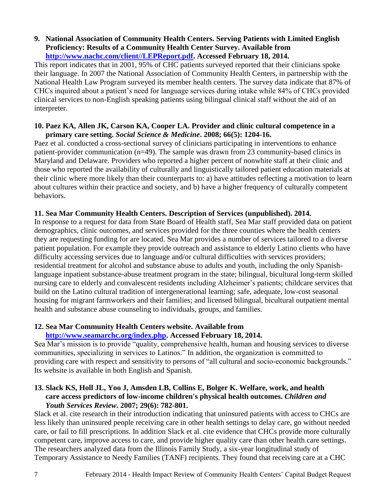#### **9. National Association of Community Health Centers. Serving Patients with Limited English Proficiency: Results of a Community Health Center Survey. Available from [http://www.nachc.com/client//LEPReport.pdf.](http://www.nachc.com/client/LEPReport.pdf) Accessed February 18, 2014.**

This report indicates that in 2001, 95% of CHC patients surveyed reported that their clinicians spoke their language. In 2007 the National Association of Community Health Centers, in partnership with the National Health Law Program surveyed its member health centers. The survey data indicate that 87% of CHCs inquired about a patient's need for language services during intake while 84% of CHCs provided clinical services to non-English speaking patients using bilingual clinical staff without the aid of an interpreter.

#### **10. Paez KA, Allen JK, Carson KA, Cooper LA. Provider and clinic cultural competence in a primary care setting.** *Social Science & Medicine***. 2008; 66(5): 1204-16.**

Paez et al. conducted a cross-sectional survey of clinicians participating in interventions to enhance patient-provider communication (n=49). The sample was drawn from 23 community-based clinics in Maryland and Delaware. Providers who reported a higher percent of nonwhite staff at their clinic and those who reported the availability of culturally and linguistically tailored patient education materials at their clinic where more likely than their counterparts to: a) have attitudes reflecting a motivation to learn about cultures within their practice and society, and b) have a higher frequency of culturally competent behaviors.

## **11. Sea Mar Community Health Centers. Description of Services (unpublished). 2014.**

In response to a request for data from State Board of Health staff, Sea Mar staff provided data on patient demographics, clinic outcomes, and services provided for the three counties where the health centers they are requesting funding for are located. Sea Mar provides a number of services tailored to a diverse patient population. For example they provide outreach and assistance to elderly Latino clients who have difficulty accessing services due to language and/or cultural difficulties with services providers; residential treatment for alcohol and substance abuse to adults and youth, including the only Spanishlanguage inpatient substance-abuse treatment program in the state; bilingual, bicultural long-term skilled nursing care to elderly and convalescent residents including Alzheimer's patients; childcare services that build on the Latino cultural tradition of intergenerational learning; safe, adequate, low-cost seasonal housing for migrant farmworkers and their families; and licensed bilingual, bicultural outpatient mental health and substance abuse counseling to individuals, groups, and families.

# **12. Sea Mar Community Health Centers website. Available from**

## **[http://www.seamarchc.org/index.php.](http://www.seamarchc.org/index.php) Accessed February 18, 2014.**

Sea Mar's mission is to provide "quality, comprehensive health, human and housing services to diverse communities, specializing in services to Latinos." In addition, the organization is committed to providing care with respect and sensitivity to persons of "all cultural and socio-economic backgrounds." Its website is available in both English and Spanish.

#### **13. Slack KS, Holl JL, Yoo J, Amsden LB, Collins E, Bolger K. Welfare, work, and health care access predictors of low-income children's physical health outcomes.** *Children and Youth Services Review***. 2007; 29(6): 782-801.**

Slack et al. cite research in their introduction indicating that uninsured patients with access to CHCs are less likely than uninsured people receiving care in other health settings to delay care, go without needed care, or fail to fill prescriptions. In addition Slack et al. cite evidence that CHCs provide more culturally competent care, improve access to care, and provide higher quality care than other health care settings. The researchers analyzed data from the Illinois Family Study, a six-year longitudinal study of Temporary Assistance to Needy Families (TANF) recipients. They found that receiving care at a CHC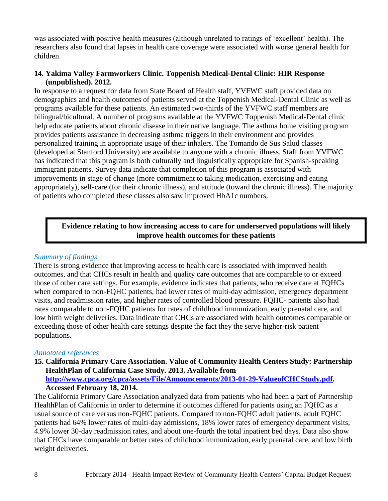was associated with positive health measures (although unrelated to ratings of 'excellent' health). The researchers also found that lapses in health care coverage were associated with worse general health for children.

# **14. Yakima Valley Farmworkers Clinic. Toppenish Medical-Dental Clinic: HIR Response (unpublished). 2012.**

In response to a request for data from State Board of Health staff, YVFWC staff provided data on demographics and health outcomes of patients served at the Toppenish Medical-Dental Clinic as well as programs available for these patients. An estimated two-thirds of the YVFWC staff members are bilingual/bicultural. A number of programs available at the YVFWC Toppenish Medical-Dental clinic help educate patients about chronic disease in their native language. The asthma home visiting program provides patients assistance in decreasing asthma triggers in their environment and provides personalized training in appropriate usage of their inhalers. The Tomando de Sus Salud classes (developed at Stanford University) are available to anyone with a chronic illness. Staff from YVFWC has indicated that this program is both culturally and linguistically appropriate for Spanish-speaking immigrant patients. Survey data indicate that completion of this program is associated with improvements in stage of change (more commitment to taking medication, exercising and eating appropriately), self-care (for their chronic illness), and attitude (toward the chronic illness). The majority of patients who completed these classes also saw improved HbA1c numbers.

# **Evidence relating to how increasing access to care for underserved populations will likely improve health outcomes for these patients**

## *Summary of findings*

There is strong evidence that improving access to health care is associated with improved health outcomes, and that CHCs result in health and quality care outcomes that are comparable to or exceed those of other care settings. For example, evidence indicates that patients, who receive care at FQHCs when compared to non-FQHC patients, had lower rates of multi-day admission, emergency department visits, and readmission rates, and higher rates of controlled blood pressure. FQHC- patients also had rates comparable to non-FQHC patients for rates of childhood immunization, early prenatal care, and low birth weight deliveries. Data indicate that CHCs are associated with health outcomes comparable or exceeding those of other health care settings despite the fact they the serve higher-risk patient populations.

## *Annotated references*

**15. California Primary Care Association. Value of Community Health Centers Study: Partnership HealthPlan of California Case Study. 2013. Available from [http://www.cpca.org/cpca/assets/File/Announcements/2013-01-29-ValueofCHCStudy.pdf.](http://www.cpca.org/cpca/assets/File/Announcements/2013-01-29-ValueofCHCStudy.pdf)** 

## **Accessed February 18, 2014.**

The California Primary Care Association analyzed data from patients who had been a part of Partnership HealthPlan of California in order to determine if outcomes differed for patients using an FQHC as a usual source of care versus non-FQHC patients. Compared to non-FQHC adult patients, adult FQHC patients had 64% lower rates of multi-day admissions, 18% lower rates of emergency department visits, 4.9% lower 30-day readmission rates, and about one-fourth the total inpatient bed days. Data also show that CHCs have comparable or better rates of childhood immunization, early prenatal care, and low birth weight deliveries.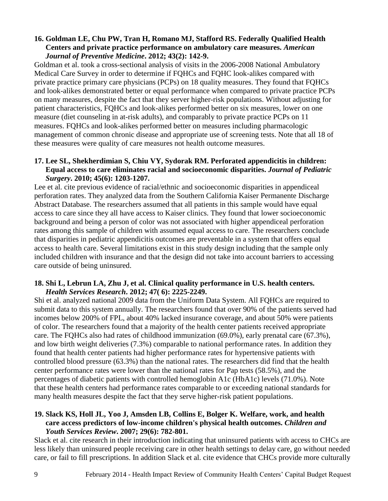#### **16. Goldman LE, Chu PW, Tran H, Romano MJ, Stafford RS. Federally Qualified Health Centers and private practice performance on ambulatory care measures.** *American Journal of Preventive Medicine***. 2012; 43(2): 142-9.**

Goldman et al. took a cross-sectional analysis of visits in the 2006-2008 National Ambulatory Medical Care Survey in order to determine if FQHCs and FQHC look-alikes compared with private practice primary care physicians (PCPs) on 18 quality measures. They found that FQHCs and look-alikes demonstrated better or equal performance when compared to private practice PCPs on many measures, despite the fact that they server higher-risk populations. Without adjusting for patient characteristics, FQHCs and look-alikes performed better on six measures, lower on one measure (diet counseling in at-risk adults), and comparably to private practice PCPs on 11 measures. FQHCs and look-alikes performed better on measures including pharmacologic management of common chronic disease and appropriate use of screening tests. Note that all 18 of these measures were quality of care measures not health outcome measures.

## **17. Lee SL, Shekherdimian S, Chiu VY, Sydorak RM. Perforated appendicitis in children: Equal access to care eliminates racial and socioeconomic disparities.** *Journal of Pediatric Surgery***. 2010; 45(6): 1203-1207.**

Lee et al. cite previous evidence of racial/ethnic and socioeconomic disparities in appendiceal perforation rates. They analyzed data from the Southern California Kaiser Permanente Discharge Abstract Database. The researchers assumed that all patients in this sample would have equal access to care since they all have access to Kaiser clinics. They found that lower socioeconomic background and being a person of color was not associated with higher appendiceal perforation rates among this sample of children with assumed equal access to care. The researchers conclude that disparities in pediatric appendicitis outcomes are preventable in a system that offers equal access to health care. Several limitations exist in this study design including that the sample only included children with insurance and that the design did not take into account barriers to accessing care outside of being uninsured.

#### **18. Shi L, Lebrun LA, Zhu J, et al. Clinical quality performance in U.S. health centers.**  *Health Services Research***. 2012; 47( 6): 2225-2249.**

Shi et al. analyzed national 2009 data from the Uniform Data System. All FQHCs are required to submit data to this system annually. The researchers found that over 90% of the patients served had incomes below 200% of FPL, about 40% lacked insurance coverage, and about 50% were patients of color. The researchers found that a majority of the health center patients received appropriate care. The FQHCs also had rates of childhood immunization (69.0%), early prenatal care (67.3%), and low birth weight deliveries (7.3%) comparable to national performance rates. In addition they found that health center patients had higher performance rates for hypertensive patients with controlled blood pressure (63.3%) than the national rates. The researchers did find that the health center performance rates were lower than the national rates for Pap tests (58.5%), and the percentages of diabetic patients with controlled hemoglobin A1c (HbA1c) levels (71.0%). Note that these health centers had performance rates comparable to or exceeding national standards for many health measures despite the fact that they serve higher-risk patient populations.

#### **19. Slack KS, Holl JL, Yoo J, Amsden LB, Collins E, Bolger K. Welfare, work, and health care access predictors of low-income children's physical health outcomes.** *Children and Youth Services Review***. 2007; 29(6): 782-801.**

Slack et al. cite research in their introduction indicating that uninsured patients with access to CHCs are less likely than uninsured people receiving care in other health settings to delay care, go without needed care, or fail to fill prescriptions. In addition Slack et al. cite evidence that CHCs provide more culturally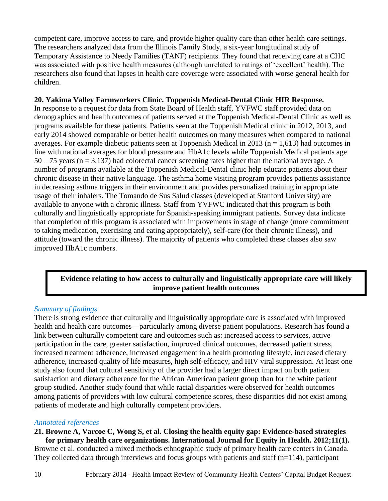competent care, improve access to care, and provide higher quality care than other health care settings. The researchers analyzed data from the Illinois Family Study, a six-year longitudinal study of Temporary Assistance to Needy Families (TANF) recipients. They found that receiving care at a CHC was associated with positive health measures (although unrelated to ratings of 'excellent' health). The researchers also found that lapses in health care coverage were associated with worse general health for children.

## **20. Yakima Valley Farmworkers Clinic. Toppenish Medical-Dental Clinic HIR Response.**

In response to a request for data from State Board of Health staff, YVFWC staff provided data on demographics and health outcomes of patients served at the Toppenish Medical-Dental Clinic as well as programs available for these patients. Patients seen at the Toppenish Medical clinic in 2012, 2013, and early 2014 showed comparable or better health outcomes on many measures when compared to national averages. For example diabetic patients seen at Toppenish Medical in 2013 ( $n = 1.613$ ) had outcomes in line with national averages for blood pressure and HbA1c levels while Toppenish Medical patients age  $50 - 75$  years (n = 3,137) had colorectal cancer screening rates higher than the national average. A number of programs available at the Toppenish Medical-Dental clinic help educate patients about their chronic disease in their native language. The asthma home visiting program provides patients assistance in decreasing asthma triggers in their environment and provides personalized training in appropriate usage of their inhalers. The Tomando de Sus Salud classes (developed at Stanford University) are available to anyone with a chronic illness. Staff from YVFWC indicated that this program is both culturally and linguistically appropriate for Spanish-speaking immigrant patients. Survey data indicate that completion of this program is associated with improvements in stage of change (more commitment to taking medication, exercising and eating appropriately), self-care (for their chronic illness), and attitude (toward the chronic illness). The majority of patients who completed these classes also saw improved HbA1c numbers.

# **Evidence relating to how access to culturally and linguistically appropriate care will likely improve patient health outcomes**

# *Summary of findings*

There is strong evidence that culturally and linguistically appropriate care is associated with improved health and health care outcomes—particularly among diverse patient populations. Research has found a link between culturally competent care and outcomes such as: increased access to services, active participation in the care, greater satisfaction, improved clinical outcomes, decreased patient stress, increased treatment adherence, increased engagement in a health promoting lifestyle, increased dietary adherence, increased quality of life measures, high self-efficacy, and HIV viral suppression. At least one study also found that cultural sensitivity of the provider had a larger direct impact on both patient satisfaction and dietary adherence for the African American patient group than for the white patient group studied. Another study found that while racial disparities were observed for health outcomes among patients of providers with low cultural competence scores, these disparities did not exist among patients of moderate and high culturally competent providers.

## *Annotated references*

#### **21. Browne A, Varcoe C, Wong S, et al. Closing the health equity gap: Evidence-based strategies for primary health care organizations. International Journal for Equity in Health. 2012;11(1).**

Browne et al. conducted a mixed methods ethnographic study of primary health care centers in Canada. They collected data through interviews and focus groups with patients and staff ( $n=114$ ), participant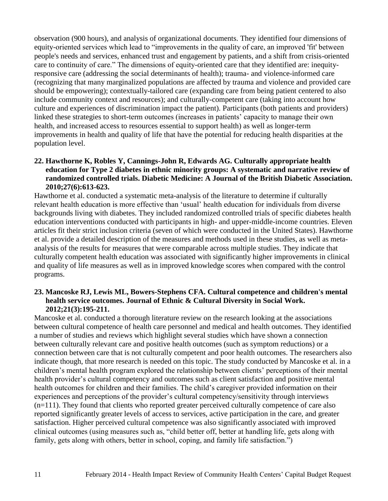observation (900 hours), and analysis of organizational documents. They identified four dimensions of equity-oriented services which lead to "improvements in the quality of care, an improved 'fit' between people's needs and services, enhanced trust and engagement by patients, and a shift from crisis-oriented care to continuity of care." The dimensions of equity-oriented care that they identified are: inequityresponsive care (addressing the social determinants of health); trauma- and violence-informed care (recognizing that many marginalized populations are affected by trauma and violence and provided care should be empowering); contextually-tailored care (expanding care from being patient centered to also include community context and resources); and culturally-competent care (taking into account how culture and experiences of discrimination impact the patient). Participants (both patients and providers) linked these strategies to short-term outcomes (increases in patients' capacity to manage their own health, and increased access to resources essential to support health) as well as longer-term improvements in health and quality of life that have the potential for reducing health disparities at the population level.

## **22. Hawthorne K, Robles Y, Cannings-John R, Edwards AG. Culturally appropriate health education for Type 2 diabetes in ethnic minority groups: A systematic and narrative review of randomized controlled trials. Diabetic Medicine: A Journal of the British Diabetic Association. 2010;27(6):613-623.**

Hawthorne et al. conducted a systematic meta-analysis of the literature to determine if culturally relevant health education is more effective than 'usual' health education for individuals from diverse backgrounds living with diabetes. They included randomized controlled trials of specific diabetes health education interventions conducted with participants in high- and upper-middle-income countries. Eleven articles fit their strict inclusion criteria (seven of which were conducted in the United States). Hawthorne et al. provide a detailed description of the measures and methods used in these studies, as well as metaanalysis of the results for measures that were comparable across multiple studies. They indicate that culturally competent health education was associated with significantly higher improvements in clinical and quality of life measures as well as in improved knowledge scores when compared with the control programs.

#### **23. Mancoske RJ, Lewis ML, Bowers-Stephens CFA. Cultural competence and children's mental health service outcomes. Journal of Ethnic & Cultural Diversity in Social Work. 2012;21(3):195-211.**

Mancoske et al. conducted a thorough literature review on the research looking at the associations between cultural competence of health care personnel and medical and health outcomes. They identified a number of studies and reviews which highlight several studies which have shown a connection between culturally relevant care and positive health outcomes (such as symptom reductions) or a connection between care that is not culturally competent and poor health outcomes. The researchers also indicate though, that more research is needed on this topic. The study conducted by Mancoske et al. in a children's mental health program explored the relationship between clients' perceptions of their mental health provider's cultural competency and outcomes such as client satisfaction and positive mental health outcomes for children and their families. The child's caregiver provided information on their experiences and perceptions of the provider's cultural competency/sensitivity through interviews (n=111). They found that clients who reported greater perceived culturally competence of care also reported significantly greater levels of access to services, active participation in the care, and greater satisfaction. Higher perceived cultural competence was also significantly associated with improved clinical outcomes (using measures such as, "child better off, better at handling life, gets along with family, gets along with others, better in school, coping, and family life satisfaction.")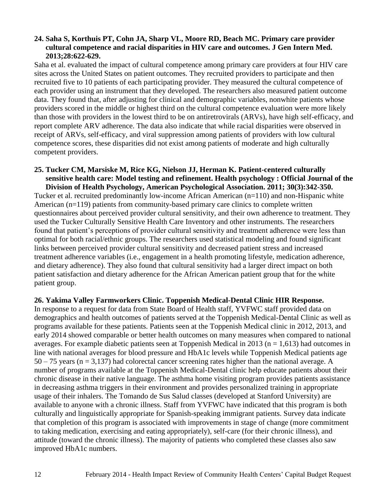#### **24. Saha S, Korthuis PT, Cohn JA, Sharp VL, Moore RD, Beach MC. Primary care provider cultural competence and racial disparities in HIV care and outcomes. J Gen Intern Med. 2013;28:622-629.**

Saha et al. evaluated the impact of cultural competence among primary care providers at four HIV care sites across the United States on patient outcomes. They recruited providers to participate and then recruited five to 10 patients of each participating provider. They measured the cultural competence of each provider using an instrument that they developed. The researchers also measured patient outcome data. They found that, after adjusting for clinical and demographic variables, nonwhite patients whose providers scored in the middle or highest third on the cultural competence evaluation were more likely than those with providers in the lowest third to be on antiretrovirals (ARVs), have high self-efficacy, and report complete ARV adherence. The data also indicate that while racial disparities were observed in receipt of ARVs, self-efficacy, and viral suppression among patients of providers with low cultural competence scores, these disparities did not exist among patients of moderate and high culturally competent providers.

#### **25. Tucker CM, Marsiske M, Rice KG, Nielson JJ, Herman K. Patient-centered culturally sensitive health care: Model testing and refinement. Health psychology : Official Journal of the Division of Health Psychology, American Psychological Association. 2011; 30(3):342-350.**

Tucker et al. recruited predominantly low-income African American (n=110) and non-Hispanic white American (n=119) patients from community-based primary care clinics to complete written questionnaires about perceived provider cultural sensitivity, and their own adherence to treatment. They used the Tucker Culturally Sensitive Health Care Inventory and other instruments. The researchers found that patient's perceptions of provider cultural sensitivity and treatment adherence were less than optimal for both racial/ethnic groups. The researchers used statistical modeling and found significant links between perceived provider cultural sensitivity and decreased patient stress and increased treatment adherence variables (i.e., engagement in a health promoting lifestyle, medication adherence, and dietary adherence). They also found that cultural sensitivity had a larger direct impact on both patient satisfaction and dietary adherence for the African American patient group that for the white patient group.

## **26. Yakima Valley Farmworkers Clinic. Toppenish Medical-Dental Clinic HIR Response.**

In response to a request for data from State Board of Health staff, YVFWC staff provided data on demographics and health outcomes of patients served at the Toppenish Medical-Dental Clinic as well as programs available for these patients. Patients seen at the Toppenish Medical clinic in 2012, 2013, and early 2014 showed comparable or better health outcomes on many measures when compared to national averages. For example diabetic patients seen at Toppenish Medical in 2013 ( $n = 1.613$ ) had outcomes in line with national averages for blood pressure and HbA1c levels while Toppenish Medical patients age 50 – 75 years (n = 3,137) had colorectal cancer screening rates higher than the national average. A number of programs available at the Toppenish Medical-Dental clinic help educate patients about their chronic disease in their native language. The asthma home visiting program provides patients assistance in decreasing asthma triggers in their environment and provides personalized training in appropriate usage of their inhalers. The Tomando de Sus Salud classes (developed at Stanford University) are available to anyone with a chronic illness. Staff from YVFWC have indicated that this program is both culturally and linguistically appropriate for Spanish-speaking immigrant patients. Survey data indicate that completion of this program is associated with improvements in stage of change (more commitment to taking medication, exercising and eating appropriately), self-care (for their chronic illness), and attitude (toward the chronic illness). The majority of patients who completed these classes also saw improved HbA1c numbers.